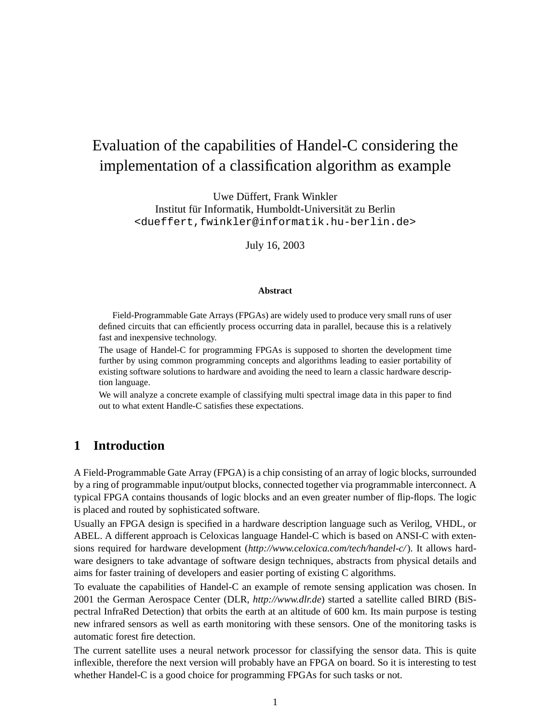# Evaluation of the capabilities of Handel-C considering the implementation of a classification algorithm as example

Uwe Düffert, Frank Winkler Institut für Informatik, Humboldt-Universität zu Berlin <dueffert,fwinkler@informatik.hu-berlin.de>

July 16, 2003

#### **Abstract**

Field-Programmable Gate Arrays (FPGAs) are widely used to produce very small runs of user defined circuits that can efficiently process occurring data in parallel, because this is a relatively fast and inexpensive technology.

The usage of Handel-C for programming FPGAs is supposed to shorten the development time further by using common programming concepts and algorithms leading to easier portability of existing software solutions to hardware and avoiding the need to learn a classic hardware description language.

We will analyze a concrete example of classifying multi spectral image data in this paper to find out to what extent Handle-C satisfies these expectations.

## **1 Introduction**

A Field-Programmable Gate Array (FPGA) is a chip consisting of an array of logic blocks, surrounded by a ring of programmable input/output blocks, connected together via programmable interconnect. A typical FPGA contains thousands of logic blocks and an even greater number of flip-flops. The logic is placed and routed by sophisticated software.

Usually an FPGA design is specified in a hardware description language such as Verilog, VHDL, or ABEL. A different approach is Celoxicas language Handel-C which is based on ANSI-C with extensions required for hardware development (*http://www.celoxica.com/tech/handel-c/*). It allows hardware designers to take advantage of software design techniques, abstracts from physical details and aims for faster training of developers and easier porting of existing C algorithms.

To evaluate the capabilities of Handel-C an example of remote sensing application was chosen. In 2001 the German Aerospace Center (DLR, *http://www.dlr.de*) started a satellite called BIRD (BiSpectral InfraRed Detection) that orbits the earth at an altitude of 600 km. Its main purpose is testing new infrared sensors as well as earth monitoring with these sensors. One of the monitoring tasks is automatic forest fire detection.

The current satellite uses a neural network processor for classifying the sensor data. This is quite inflexible, therefore the next version will probably have an FPGA on board. So it is interesting to test whether Handel-C is a good choice for programming FPGAs for such tasks or not.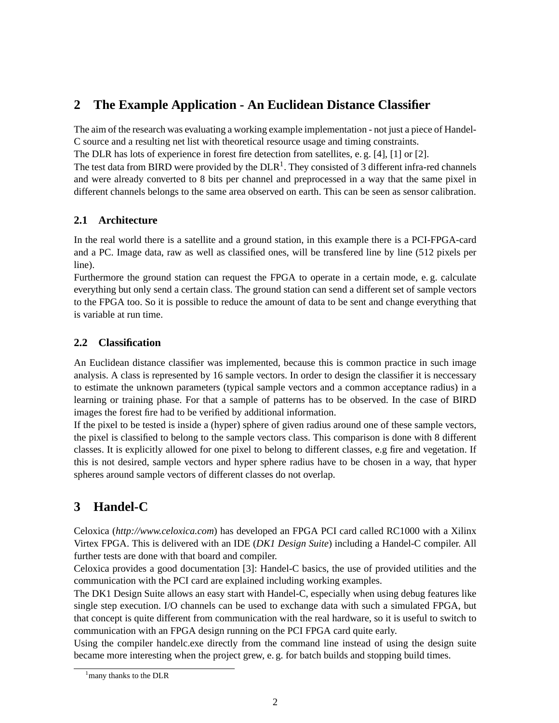## <span id="page-1-1"></span>**2 The Example Application - An Euclidean Distance Classifier**

The aim of the research was evaluating a working example implementation - not just a piece of Handel-C source and a resulting net list with theoretical resource usage and timing constraints.

The DLR has lots of experience in forest fire detection from satellites, e. g. [\[4\]](#page-4-0), [\[1\]](#page-4-1) or [\[2\]](#page-4-2).

The test data from BIRD were provided by the  $DLR<sup>1</sup>$  $DLR<sup>1</sup>$  $DLR<sup>1</sup>$ . They consisted of 3 different infra-red channels and were already converted to 8 bits per channel and preprocessed in a way that the same pixel in different channels belongs to the same area observed on earth. This can be seen as sensor calibration.

## **2.1 Architecture**

In the real world there is a satellite and a ground station, in this example there is a PCI-FPGA-card and a PC. Image data, raw as well as classified ones, will be transfered line by line (512 pixels per line).

Furthermore the ground station can request the FPGA to operate in a certain mode, e. g. calculate everything but only send a certain class. The ground station can send a different set of sample vectors to the FPGA too. So it is possible to reduce the amount of data to be sent and change everything that is variable at run time.

### **2.2 Classification**

An Euclidean distance classifier was implemented, because this is common practice in such image analysis. A class is represented by 16 sample vectors. In order to design the classifier it is neccessary to estimate the unknown parameters (typical sample vectors and a common acceptance radius) in a learning or training phase. For that a sample of patterns has to be observed. In the case of BIRD images the forest fire had to be verified by additional information.

If the pixel to be tested is inside a (hyper) sphere of given radius around one of these sample vectors, the pixel is classified to belong to the sample vectors class. This comparison is done with 8 different classes. It is explicitly allowed for one pixel to belong to different classes, e.g fire and vegetation. If this is not desired, sample vectors and hyper sphere radius have to be chosen in a way, that hyper spheres around sample vectors of different classes do not overlap.

## **3 Handel-C**

Celoxica (*http://www.celoxica.com*) has developed an FPGA PCI card called RC1000 with a Xilinx Virtex FPGA. This is delivered with an IDE (*DK1 Design Suite*) including a Handel-C compiler. All further tests are done with that board and compiler.

Celoxica provides a good documentation [\[3\]](#page-4-3): Handel-C basics, the use of provided utilities and the communication with the PCI card are explained including working examples.

The DK1 Design Suite allows an easy start with Handel-C, especially when using debug features like single step execution. I/O channels can be used to exchange data with such a simulated FPGA, but that concept is quite different from communication with the real hardware, so it is useful to switch to communication with an FPGA design running on the PCI FPGA card quite early.

Using the compiler handelc.exe directly from the command line instead of using the design suite became more interesting when the project grew, e. g. for batch builds and stopping build times.

<span id="page-1-0"></span><sup>&</sup>lt;sup>1</sup> many thanks to the DLR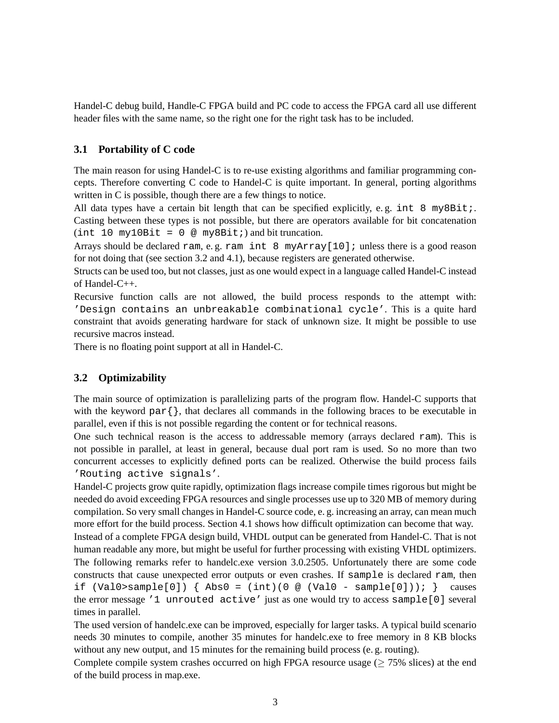Handel-C debug build, Handle-C FPGA build and PC code to access the FPGA card all use different header files with the same name, so the right one for the right task has to be included.

#### **3.1 Portability of C code**

The main reason for using Handel-C is to re-use existing algorithms and familiar programming concepts. Therefore converting C code to Handel-C is quite important. In general, porting algorithms written in C is possible, though there are a few things to notice.

All data types have a certain bit length that can be specified explicitly, e.g. int  $8$  my $8$ Bit;. Casting between these types is not possible, but there are operators available for bit concatenation  $(int 10 my10Bit = 0 @ my8Bit) and bit truncation.$ 

Arrays should be declared ram, e. g. ram int 8 myArray[10]; unless there is a good reason for not doing that (see section [3.2](#page-2-0) and [4.1\)](#page-3-0), because registers are generated otherwise.

Structs can be used too, but not classes, just as one would expect in a language called Handel-C instead of Handel-C++.

Recursive function calls are not allowed, the build process responds to the attempt with: 'Design contains an unbreakable combinational cycle'. This is a quite hard constraint that avoids generating hardware for stack of unknown size. It might be possible to use recursive macros instead.

There is no floating point support at all in Handel-C.

#### <span id="page-2-0"></span>**3.2 Optimizability**

The main source of optimization is parallelizing parts of the program flow. Handel-C supports that with the keyword  $par\$ , that declares all commands in the following braces to be executable in parallel, even if this is not possible regarding the content or for technical reasons.

One such technical reason is the access to addressable memory (arrays declared ram). This is not possible in parallel, at least in general, because dual port ram is used. So no more than two concurrent accesses to explicitly defined ports can be realized. Otherwise the build process fails 'Routing active signals'.

Handel-C projects grow quite rapidly, optimization flags increase compile times rigorous but might be needed do avoid exceeding FPGA resources and single processes use up to 320 MB of memory during compilation. So very small changes in Handel-C source code, e. g. increasing an array, can mean much more effort for the build process. Section [4.1](#page-3-0) shows how difficult optimization can become that way.

Instead of a complete FPGA design build, VHDL output can be generated from Handel-C. That is not human readable any more, but might be useful for further processing with existing VHDL optimizers. The following remarks refer to handelc.exe version 3.0.2505. Unfortunately there are some code constructs that cause unexpected error outputs or even crashes. If sample is declared ram, then if  $(ValO>sample[0]) \{ Abs0 = (int)(0 @ (ValO - sample[0]))\}$  causes the error message '1 unrouted active' just as one would try to access sample[0] several times in parallel.

The used version of handelc.exe can be improved, especially for larger tasks. A typical build scenario needs 30 minutes to compile, another 35 minutes for handelc.exe to free memory in 8 KB blocks without any new output, and 15 minutes for the remaining build process (e. g. routing).

Complete compile system crashes occurred on high FPGA resource usage ( $\geq$  75% slices) at the end of the build process in map.exe.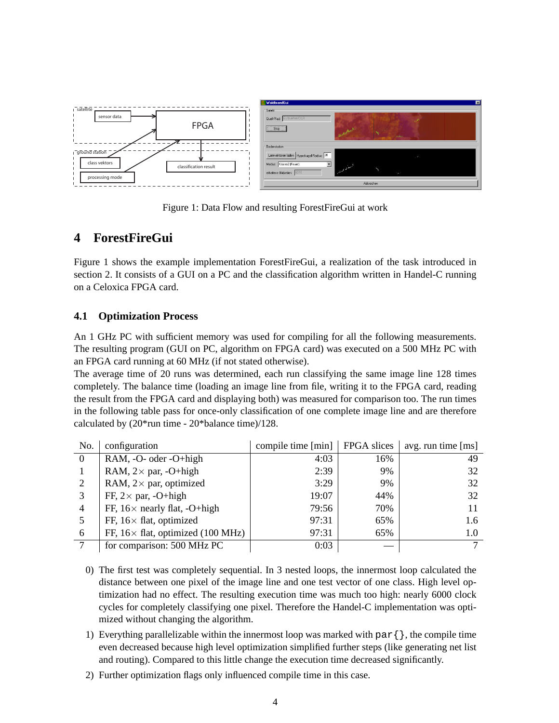

<span id="page-3-1"></span>Figure 1: Data Flow and resulting ForestFireGui at work

## **4 ForestFireGui**

Figure [1](#page-3-1) shows the example implementation ForestFireGui, a realization of the task introduced in section [2.](#page-1-1) It consists of a GUI on a PC and the classification algorithm written in Handel-C running on a Celoxica FPGA card.

### <span id="page-3-0"></span>**4.1 Optimization Process**

An 1 GHz PC with sufficient memory was used for compiling for all the following measurements. The resulting program (GUI on PC, algorithm on FPGA card) was executed on a 500 MHz PC with an FPGA card running at 60 MHz (if not stated otherwise).

The average time of 20 runs was determined, each run classifying the same image line 128 times completely. The balance time (loading an image line from file, writing it to the FPGA card, reading the result from the FPGA card and displaying both) was measured for comparison too. The run times in the following table pass for once-only classification of one complete image line and are therefore calculated by (20\*run time - 20\*balance time)/128.

| No.            | configuration                             | compile time $[\min]$   FPGA slices |     | avg. run time $[ms]$ |
|----------------|-------------------------------------------|-------------------------------------|-----|----------------------|
| $\theta$       | RAM, -O- oder -O+high                     | 4:03                                | 16% | 49                   |
|                | RAM, $2 \times$ par, -O+high              | 2:39                                | 9%  | 32                   |
| 2              | RAM, $2 \times$ par, optimized            | 3:29                                | 9%  | 32                   |
| 3              | FF, $2 \times$ par, -O+high               | 19:07                               | 44% | 32                   |
| $\overline{4}$ | FF, $16\times$ nearly flat, $-O+high$     | 79:56                               | 70% |                      |
|                | FF, $16 \times$ flat, optimized           | 97:31                               | 65% | 1.6                  |
| 6              | FF, $16 \times$ flat, optimized (100 MHz) | 97:31                               | 65% | 1.0                  |
|                | for comparison: 500 MHz PC                | 0:03                                |     | $\mathbf{r}$         |

- 0) The first test was completely sequential. In 3 nested loops, the innermost loop calculated the distance between one pixel of the image line and one test vector of one class. High level optimization had no effect. The resulting execution time was much too high: nearly 6000 clock cycles for completely classifying one pixel. Therefore the Handel-C implementation was optimized without changing the algorithm.
- 1) Everything parallelizable within the innermost loop was marked with par $\{\}$ , the compile time even decreased because high level optimization simplified further steps (like generating net list and routing). Compared to this little change the execution time decreased significantly.
- 2) Further optimization flags only influenced compile time in this case.